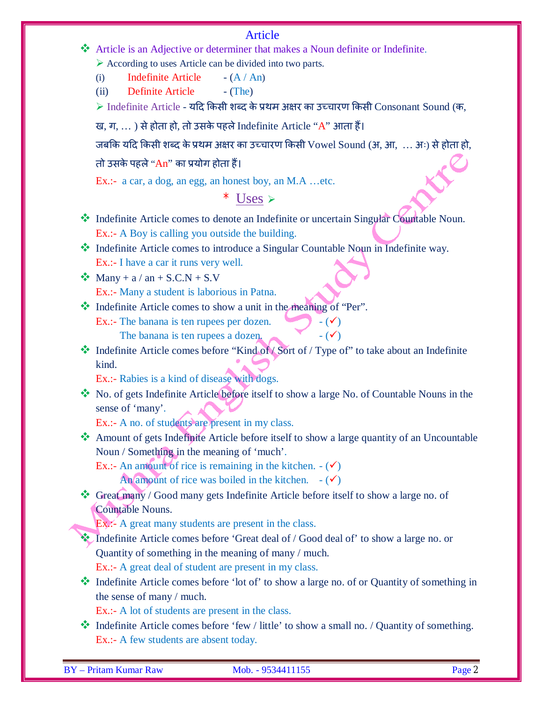#### Article

 Article is an Adjective or determiner that makes a Noun definite or Indefinite.  $\triangleright$  According to uses Article can be divided into two parts.

(i) Indefinite Article  $-(A / An)$ 

(ii) Definite Article - (The)

 $\triangleright$  Indefinite Article - यदि किसी शब्द के प्रथम अक्षर का उच्चारण किसी Consonant Sound (क,

ख, ग, ...) से होता हो, तो उसके पहले Indefinite Article "A" आता हैं।

जबकि यदि किसी शब्द के प्रथम अक्षर का उच्चारण किसी Vowel Sound (अ, आ, ... अः) से होता हो,

तो उसके पहले "An" का प्रयोग होता हैं।

Ex.:- a car, a dog, an egg, an honest boy, an M.A …etc.

## $*$  Uses  $\triangleright$

 $\cdot \cdot$  Indefinite Article comes to denote an Indefinite or uncertain Singular Countable Noun. Ex.:- A Boy is calling you outside the building.

 Indefinite Article comes to introduce a Singular Countable Noun in Indefinite way. Ex.:- I have a car it runs very well.

- $\bullet$  Many + a / an + S.C.N + S.V Ex.:- Many a student is laborious in Patna.
- Indefinite Article comes to show a unit in the meaning of "Per".
	- Ex.:- The banana is ten rupees per dozen.  $\bullet$   $\bullet$   $\bullet$ The banana is ten rupees a dozen.  $\bullet$   $\bullet$   $\bullet$   $\bullet$   $\bullet$   $\bullet$
- Indefinite Article comes before "Kind of / Sort of / Type of" to take about an Indefinite kind.

Ex.:- Rabies is a kind of disease with dogs.

 No. of gets Indefinite Article before itself to show a large No. of Countable Nouns in the sense of 'many'.

Ex.:- A no. of students are present in my class.

 Amount of gets Indefinite Article before itself to show a large quantity of an Uncountable Noun / Something in the meaning of 'much'.

Ex.:- An amount of rice is remaining in the kitchen.  $-(\checkmark)$ 

An amount of rice was boiled in the kitchen.  $-(\checkmark)$ 

 Great many / Good many gets Indefinite Article before itself to show a large no. of Countable Nouns.

Ex.:- A great many students are present in the class.

- Indefinite Article comes before 'Great deal of / Good deal of' to show a large no. or Quantity of something in the meaning of many / much. Ex.:- A great deal of student are present in my class.
- Indefinite Article comes before 'lot of' to show a large no. of or Quantity of something in the sense of many / much.

Ex.:- A lot of students are present in the class.

 $\bullet$  Indefinite Article comes before 'few / little' to show a small no. / Quantity of something. Ex.:- A few students are absent today.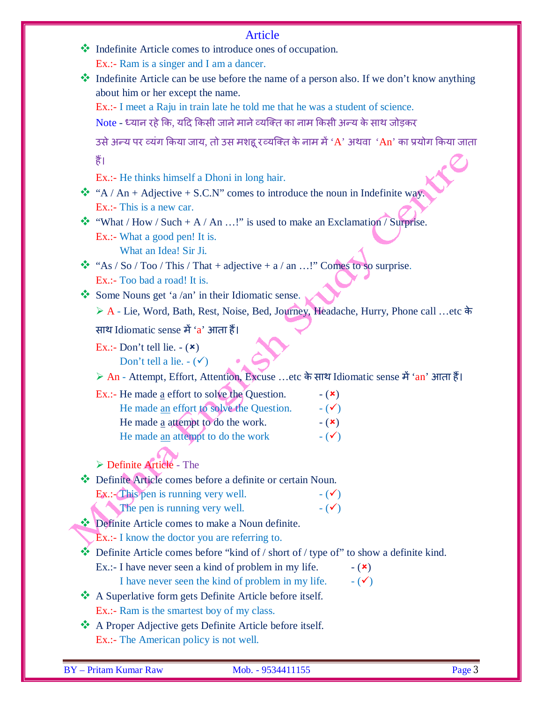|   | <b>Article</b>                                                                                                                                                                |
|---|-------------------------------------------------------------------------------------------------------------------------------------------------------------------------------|
|   | Indefinite Article comes to introduce ones of occupation.                                                                                                                     |
|   | Ex.:- Ram is a singer and I am a dancer.                                                                                                                                      |
|   | * Indefinite Article can be use before the name of a person also. If we don't know anything                                                                                   |
|   | about him or her except the name.                                                                                                                                             |
|   | Ex.:- I meet a Raju in train late he told me that he was a student of science.                                                                                                |
|   | Note - ध्यान रहे कि, यदि किसी जाने माने व्यक्ति का नाम किसी अन्य के साथ जोड़कर                                                                                                |
|   | 3से अन्य पर व्यंग किया जाय, तो उस मशहू रव्यक्ति के नाम में 'A' अथवा 'An' का प्रयोग किया जाता                                                                                  |
|   | हैं।                                                                                                                                                                          |
|   | Ex.:- He thinks himself a Dhoni in long hair.                                                                                                                                 |
|   | ☆ "A / An + Adjective + S.C.N" comes to introduce the noun in Indefinite way.                                                                                                 |
|   | Ex.:- This is a new car.                                                                                                                                                      |
|   | "What / How / Such + A / An !" is used to make an Exclamation / Surprise.                                                                                                     |
|   | Ex.:- What a good pen! It is.                                                                                                                                                 |
|   | What an Idea! Sir Ji.                                                                                                                                                         |
| ❤ | "As / So / Too / This / That + adjective + $a$ / an !" Comes to so surprise.                                                                                                  |
|   | Ex.:- Too bad a road! It is.                                                                                                                                                  |
|   | Some Nouns get 'a /an' in their Idiomatic sense.                                                                                                                              |
|   | ▶ A - Lie, Word, Bath, Rest, Noise, Bed, Journey, Headache, Hurry, Phone call etc के                                                                                          |
|   | साथ Idiomatic sense में 'a' आता हैं।                                                                                                                                          |
|   | Ex.:- Don't tell lie. $-(\star)$<br>Don't tell a lie. $-(\checkmark)$                                                                                                         |
|   | > An - Attempt, Effort, Attention, Excuse etc के साथ Idiomatic sense में 'an' आता हैं।                                                                                        |
|   | Ex.:- He made $\underline{a}$ effort to solve the Question.<br>$ (\times)$                                                                                                    |
|   | He made an effort to solve the Question.<br>$ (\checkmark)$                                                                                                                   |
|   | He made a attempt to do the work.<br>$-(\mathbf{x})$                                                                                                                          |
|   | He made an attempt to do the work<br>$ (\checkmark)$                                                                                                                          |
|   |                                                                                                                                                                               |
|   | $\triangleright$ Definite Article - The                                                                                                                                       |
|   | Definite Article comes before a definite or certain Noun.                                                                                                                     |
|   | Ex.: This pen is running very well.<br>$ (\checkmark)$                                                                                                                        |
|   | The pen is running very well.<br>$ (\checkmark)$                                                                                                                              |
|   | Definite Article comes to make a Noun definite.                                                                                                                               |
|   | Ex.:- I know the doctor you are referring to.                                                                                                                                 |
|   | $\bullet\bullet$ Definite Article comes before "kind of / short of / type of" to show a definite kind.<br>Ex.:- I have never seen a kind of problem in my life.<br>$ (\star)$ |
|   | I have never seen the kind of problem in my life.<br>$ (\checkmark)$                                                                                                          |
|   | A Superlative form gets Definite Article before itself.                                                                                                                       |
|   | Ex.:- Ram is the smartest boy of my class.                                                                                                                                    |
|   | A Proper Adjective gets Definite Article before itself.                                                                                                                       |
|   | Ex.:- The American policy is not well.                                                                                                                                        |
|   |                                                                                                                                                                               |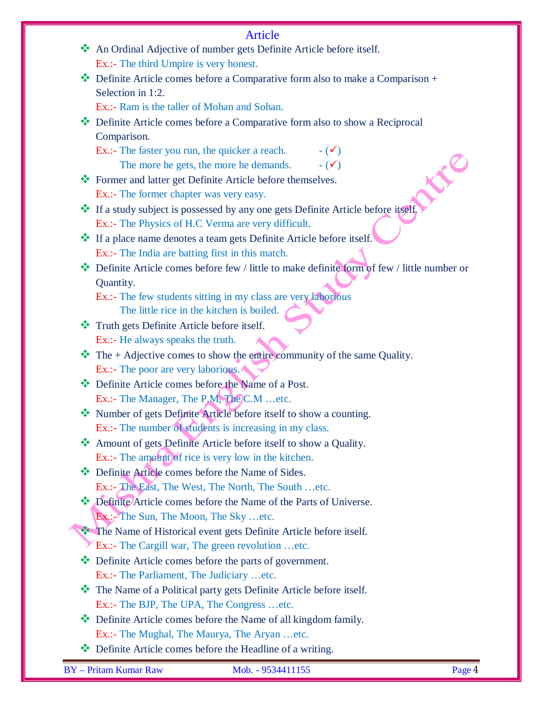|   | <b>Article</b>                                                                             |
|---|--------------------------------------------------------------------------------------------|
|   | An Ordinal Adjective of number gets Definite Article before itself.                        |
|   | Ex.:- The third Umpire is very honest.                                                     |
|   | Definite Article comes before a Comparative form also to make a Comparison +               |
|   | Selection in 1:2.                                                                          |
|   | Ex.:- Ram is the taller of Mohan and Sohan.                                                |
| ❖ | Definite Article comes before a Comparative form also to show a Reciprocal                 |
|   | Comparison.                                                                                |
|   | Ex.:- The faster you run, the quicker a reach.<br>$ (\checkmark)$                          |
|   | $ (\checkmark)$<br>The more he gets, the more he demands.                                  |
|   | * Former and latter get Definite Article before themselves.                                |
|   | Ex.:- The former chapter was very easy.                                                    |
|   | * If a study subject is possessed by any one gets Definite Article before itself.          |
|   | Ex.:- The Physics of H.C Verma are very difficult.                                         |
|   | * If a place name denotes a team gets Definite Article before itself.                      |
|   | Ex.:- The India are batting first in this match.                                           |
|   | Definite Article comes before few / little to make definite form of few / little number or |
|   | Quantity.                                                                                  |
|   | Ex.:- The few students sitting in my class are very laborious                              |
|   | The little rice in the kitchen is boiled.                                                  |
|   | Truth gets Definite Article before itself.                                                 |
|   | Ex.:- He always speaks the truth.                                                          |
|   | The $+$ Adjective comes to show the entire community of the same Quality.                  |
|   | Ex.:- The poor are very laborious.                                                         |
|   | Definite Article comes before the Name of a Post.                                          |
|   | Ex.:- The Manager, The P.M, The C.M etc.                                                   |
|   | Number of gets Definite Article before itself to show a counting.                          |
|   | Ex.:- The number of students is increasing in my class.                                    |
|   | Amount of gets Definite Article before itself to show a Quality.                           |
|   | Ex.:- The amount of rice is very low in the kitchen.                                       |
|   | Definite Article comes before the Name of Sides.                                           |
|   | Ex.:- The East, The West, The North, The South etc.                                        |
|   | Definite Article comes before the Name of the Parts of Universe.                           |
|   | $\mathbf{Ex}$ : The Sun, The Moon, The Sky etc.                                            |
|   | The Name of Historical event gets Definite Article before itself.                          |
|   | Ex.:- The Cargill war, The green revolution etc.                                           |
|   | $\bullet$ Definite Article comes before the parts of government.                           |
|   | Ex.:- The Parliament, The Judiciary etc.                                                   |
|   | The Name of a Political party gets Definite Article before itself.                         |
|   | Ex.:- The BJP, The UPA, The Congress etc.                                                  |
|   | Definite Article comes before the Name of all kingdom family.                              |
|   | Ex.:- The Mughal, The Maurya, The Aryan etc.                                               |
|   | Definite Article comes before the Headline of a writing.                                   |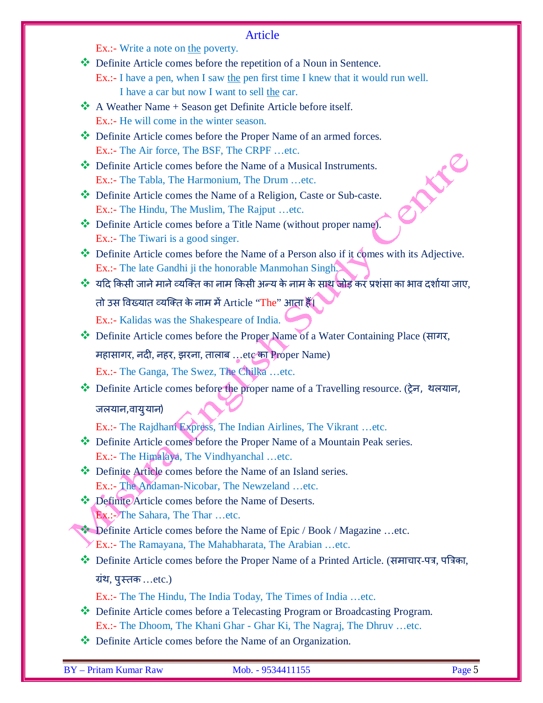#### Article

Ex.:- Write a note on the poverty.

Definite Article comes before the repetition of a Noun in Sentence.

Ex.:- I have a pen, when I saw the pen first time I knew that it would run well. I have a car but now I want to sell the car.

- $\mathbf{\hat{*}}$  A Weather Name + Season get Definite Article before itself. Ex.:- He will come in the winter season.
- Definite Article comes before the Proper Name of an armed forces. Ex.:- The Air force, The BSF, The CRPF …etc.
- Definite Article comes before the Name of a Musical Instruments. Ex.:- The Tabla, The Harmonium, The Drum …etc.
- Definite Article comes the Name of a Religion, Caste or Sub-caste. Ex.:- The Hindu, The Muslim, The Rajput …etc.
- Definite Article comes before a Title Name (without proper name). Ex.:- The Tiwari is a good singer.
- Definite Article comes before the Name of a Person also if it comes with its Adjective. Ex.:- The late Gandhi ji the honorable Manmohan Singh.
- $\dots$ े यदि किसी जाने माने व्यक्ति का नाम किसी अन्य के नाम के साथ जोड़ कर प्रशंसा का भाव दर्शाया जाए, तो उस विख्यात व्यक्ति के नाम में Article "The" आता हैं।

Ex.:- Kalidas was the Shakespeare of India.

- Definite Article comes before the Proper Name of a Water Containing Place (सागर, महासागर, नदी, नहर, झरना, तालाब ...etc का Proper Name) Ex.:- The Ganga, The Swez, The Chilka …etc.
- Definite Article comes before the proper name of a Travelling resource. (Ěेन, थलयान,

### जलयान,वायुयान)

Ex.:- The Rajdhani Express, The Indian Airlines, The Vikrant …etc.

- Definite Article comes before the Proper Name of a Mountain Peak series. Ex.:- The Himalaya, The Vindhyanchal …etc.
- ◆ Definite Article comes before the Name of an Island series. Ex.:- The Andaman-Nicobar, The Newzeland …etc.
- Definite Article comes before the Name of Deserts. Ex.:- The Sahara, The Thar …etc.

Definite Article comes before the Name of Epic / Book / Magazine …etc.

- Ex.:- The Ramayana, The Mahabharata, The Arabian …etc.
- Definite Article comes before the Proper Name of a Printed Article. (समाचार-पत्र, पत्रिका, ग्रंथ, पुस्तक ...etc.)
	- Ex.:- The The Hindu, The India Today, The Times of India …etc.
- Definite Article comes before a Telecasting Program or Broadcasting Program. Ex.:- The Dhoom, The Khani Ghar - Ghar Ki, The Nagraj, The Dhruv …etc.
- ◆ Definite Article comes before the Name of an Organization.

**ANC**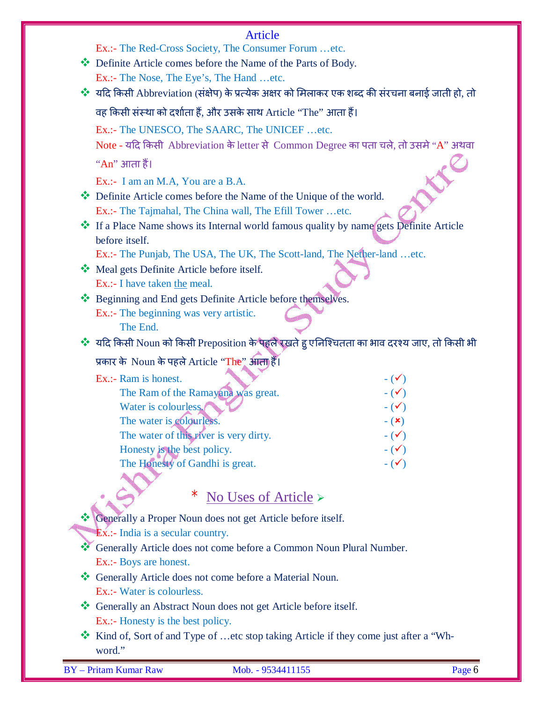# Article

| Ex.:- The Red-Cross Society, The Consumer Forum etc.                                             |
|--------------------------------------------------------------------------------------------------|
| Definite Article comes before the Name of the Parts of Body.                                     |
| Ex.:- The Nose, The Eye's, The Hand etc.                                                         |
| ❖ यदि किसी Abbreviation (संक्षेप) के प्रत्येक अक्षर को मिलाकर एक शब्द की संरचना बनाई जाती हो, तो |
| वह किसी संस्था को दर्शाता हैं, और उसके साथ Article ''The'' आता हैं।                              |
| Ex.:- The UNESCO, The SAARC, The UNICEF etc.                                                     |
| Note - यदि किसी Abbreviation के letter से Common Degree का पता चले, तो उसमे "A" अथवा             |
| "An" आता हैं।                                                                                    |
| Ex.:- I am an M.A, You are a B.A.                                                                |
| Definite Article comes before the Name of the Unique of the world.                               |
| Ex.:- The Tajmahal, The China wall, The Efill Tower etc.                                         |
| ❖ If a Place Name shows its Internal world famous quality by name gets Definite Article          |
| before itself.                                                                                   |
| Ex.:- The Punjab, The USA, The UK, The Scott-land, The Nether-land etc.                          |
| Meal gets Definite Article before itself.                                                        |
| Ex.:- I have taken the meal.                                                                     |
| * Beginning and End gets Definite Article before themselves.                                     |
| Ex.:- The beginning was very artistic.                                                           |
| The End.                                                                                         |
| ❖ यदि किसी Noun को किसी Preposition के पहले रखते हु एनिश्चितता का भाव दरश्य जाए, तो किसी भी      |
| प्रकार के Noun के पहले Article "The" आता हैं।                                                    |
| Ex.:- Ram is honest.<br>$ (\checkmark)$                                                          |
| The Ram of the Ramayana was great.<br>$ (\checkmark)$                                            |
| $ (\checkmark)$<br>Water is colourless.                                                          |
| The water is colourless.<br>$ (\star)$                                                           |
| The water of this river is very dirty.<br>$ (\checkmark)$                                        |
| Honesty is the best policy.<br>$ (\checkmark)$                                                   |
| The Honesty of Gandhi is great.<br>$ (\checkmark)$                                               |
|                                                                                                  |
| No Uses of Article $\triangleright$                                                              |
|                                                                                                  |
| Generally a Proper Noun does not get Article before itself.                                      |
| $\mathbf{\mathbf{\mathsf{Ex}}}\n$ :- India is a secular country.                                 |
| Generally Article does not come before a Common Noun Plural Number.                              |
| Ex.:- Boys are honest.                                                                           |
| Generally Article does not come before a Material Noun.                                          |
| Ex.:- Water is colourless.                                                                       |
| * Generally an Abstract Noun does not get Article before itself.                                 |
| Ex.:- Honesty is the best policy.                                                                |
| Kind of, Sort of and Type of etc stop taking Article if they come just after a "Wh-              |
| word."                                                                                           |
| <b>BY</b> - Pritam Kumar Raw<br>Mob. - 9534411155<br>Page 6                                      |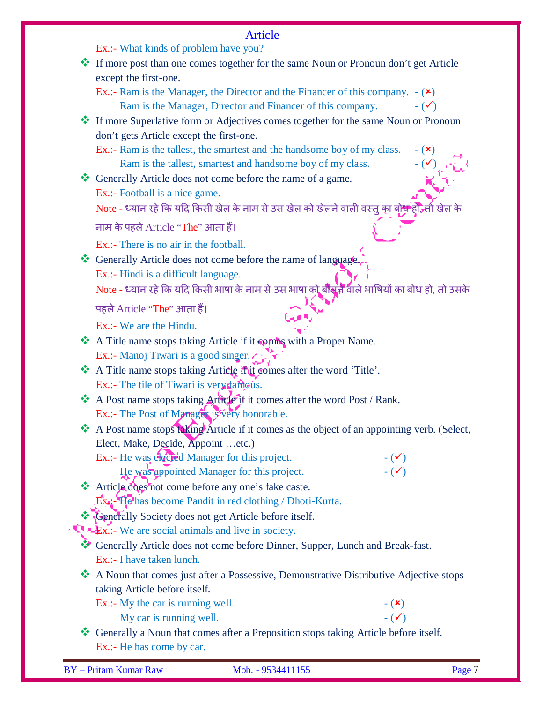| <b>Article</b>                                                                                                                     |
|------------------------------------------------------------------------------------------------------------------------------------|
| Ex.:- What kinds of problem have you?                                                                                              |
| If more post than one comes together for the same Noun or Pronoun don't get Article                                                |
| except the first-one.                                                                                                              |
| Ex.:- Ram is the Manager, the Director and the Financer of this company. $-(\star)$                                                |
| Ram is the Manager, Director and Financer of this company.<br>$ (\checkmark)$                                                      |
| <b>*</b> If more Superlative form or Adjectives comes together for the same Noun or Pronoun                                        |
| don't gets Article except the first-one.                                                                                           |
| Ex.:- Ram is the tallest, the smartest and the handsome boy of my class.<br>$ (\mathbf{x})$<br>$ (\checkmark)$                     |
| Ram is the tallest, smartest and handsome boy of my class.<br>Generally Article does not come before the name of a game.           |
| Ex.:- Football is a nice game.                                                                                                     |
| Note - ध्यान रहे कि यदि किसी खेल के नाम से उस खेल को खेलने वाली वस्तु का बोध हो, तो खेल के                                         |
|                                                                                                                                    |
| नाम के पहले Article "The" आता हैं।                                                                                                 |
| Ex.:- There is no air in the football.                                                                                             |
| ** Generally Article does not come before the name of language.                                                                    |
| Ex.:- Hindi is a difficult language.                                                                                               |
| Note - ध्यान रहे कि यदि किसी भाषा के नाम से उस भाषा को बौलने वाले भाषियों का बोध हो, तो उसके                                       |
| पहले Article "The" आता हैं।                                                                                                        |
| Ex.:- We are the Hindu.                                                                                                            |
| A Title name stops taking Article if it comes with a Proper Name.                                                                  |
| Ex.:- Manoj Tiwari is a good singer.                                                                                               |
| A Title name stops taking Article if it comes after the word 'Title'.                                                              |
| Ex.:- The tile of Tiwari is very famous.                                                                                           |
| A Post name stops taking Article if it comes after the word Post / Rank.                                                           |
| Ex.:- The Post of Manager is very honorable.                                                                                       |
| A Post name stops taking Article if it comes as the object of an appointing verb. (Select,                                         |
| Elect, Make, Decide, Appoint etc.)                                                                                                 |
| Ex.:- He was elected Manager for this project.<br>$ (\checkmark)$<br>$ (\checkmark)$<br>He was appointed Manager for this project. |
| Article does not come before any one's fake caste.                                                                                 |
| Ex <sub>i</sub> :- He has become Pandit in red clothing / Dhoti-Kurta.                                                             |
| Generally Society does not get Article before itself.                                                                              |
| $Ex$ : We are social animals and live in society.                                                                                  |
| ** Generally Article does not come before Dinner, Supper, Lunch and Break-fast.                                                    |
| Ex.:- I have taken lunch.                                                                                                          |
| A Noun that comes just after a Possessive, Demonstrative Distributive Adjective stops                                              |
| taking Article before itself.                                                                                                      |
| Ex.:- My the car is running well.<br>$ (\star)$                                                                                    |
| $ (\checkmark)$<br>My car is running well.                                                                                         |
| * Generally a Noun that comes after a Preposition stops taking Article before itself.                                              |
| Ex.:- He has come by car.                                                                                                          |